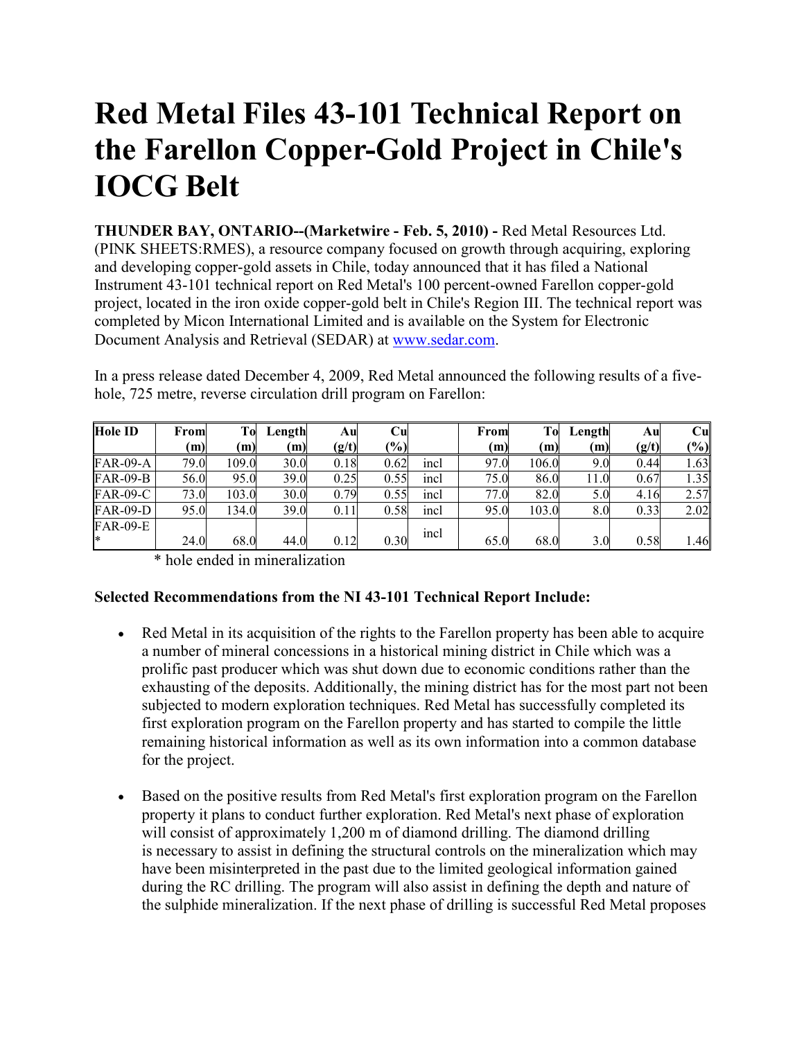## **Red Metal Files 43-101 Technical Report on the Farellon Copper-Gold Project in Chile's IOCG Belt**

**THUNDER BAY, ONTARIO--(Marketwire - Feb. 5, 2010) -** Red Metal Resources Ltd. (PINK SHEETS:RMES), a resource company focused on growth through acquiring, exploring and developing copper-gold assets in Chile, today announced that it has filed a National Instrument 43-101 technical report on Red Metal's 100 percent-owned Farellon copper-gold project, located in the iron oxide copper-gold belt in Chile's Region III. The technical report was completed by Micon International Limited and is available on the System for Electronic Document Analysis and Retrieval (SEDAR) at www.sedar.com.

| <b>Hole ID</b>  | From | To    | Length | Au    | Cul  |      | From | To    | Length | Au    | $\mathbf{C}\mathbf{u}$ |
|-----------------|------|-------|--------|-------|------|------|------|-------|--------|-------|------------------------|
|                 | (m)  | (m)   | (m)    | (g/t) | (%)  |      | (m)  | (m)   | (m)    | (g/t) | $(\%)$                 |
| <b>FAR-09-A</b> | 79.0 | 109.0 | 30.0   | 0.18  | 0.62 | incl | 97.0 | 106.0 | 9.0    | 0.44  | 1.63                   |
| <b>FAR-09-B</b> | 56.0 | 95.0  | 39.0   | 0.25  | 0.55 | incl | 75.0 | 86.0  | 11.0   | 0.67  | 1.35                   |
| <b>FAR-09-C</b> | 73.0 | 103.0 | 30.0   | 0.79  | 0.55 | incl | 77.0 | 82.0  | 5.0    | 4.16  | 2.57                   |
| <b>FAR-09-D</b> | 95.0 | 134.0 | 39.0   | 0.11  | 0.58 | incl | 95.0 | 103.0 | 8.0    | 0.33  | 2.02                   |
| <b>FAR-09-E</b> |      |       |        |       |      | incl |      |       |        |       |                        |
| l*              | 24.0 | 68.0  | 44.0   | 0.12  | 0.30 |      | 65.0 | 68.0  | 3.0    | 0.58  | l.46                   |

In a press release dated December 4, 2009, Red Metal announced the following results of a fivehole, 725 metre, reverse circulation drill program on Farellon:

\* hole ended in mineralization

## **Selected Recommendations from the NI 43-101 Technical Report Include:**

- Red Metal in its acquisition of the rights to the Farellon property has been able to acquire a number of mineral concessions in a historical mining district in Chile which was a prolific past producer which was shut down due to economic conditions rather than the exhausting of the deposits. Additionally, the mining district has for the most part not been subjected to modern exploration techniques. Red Metal has successfully completed its first exploration program on the Farellon property and has started to compile the little remaining historical information as well as its own information into a common database for the project.
- Based on the positive results from Red Metal's first exploration program on the Farellon property it plans to conduct further exploration. Red Metal's next phase of exploration will consist of approximately 1,200 m of diamond drilling. The diamond drilling is necessary to assist in defining the structural controls on the mineralization which may have been misinterpreted in the past due to the limited geological information gained during the RC drilling. The program will also assist in defining the depth and nature of the sulphide mineralization. If the next phase of drilling is successful Red Metal proposes